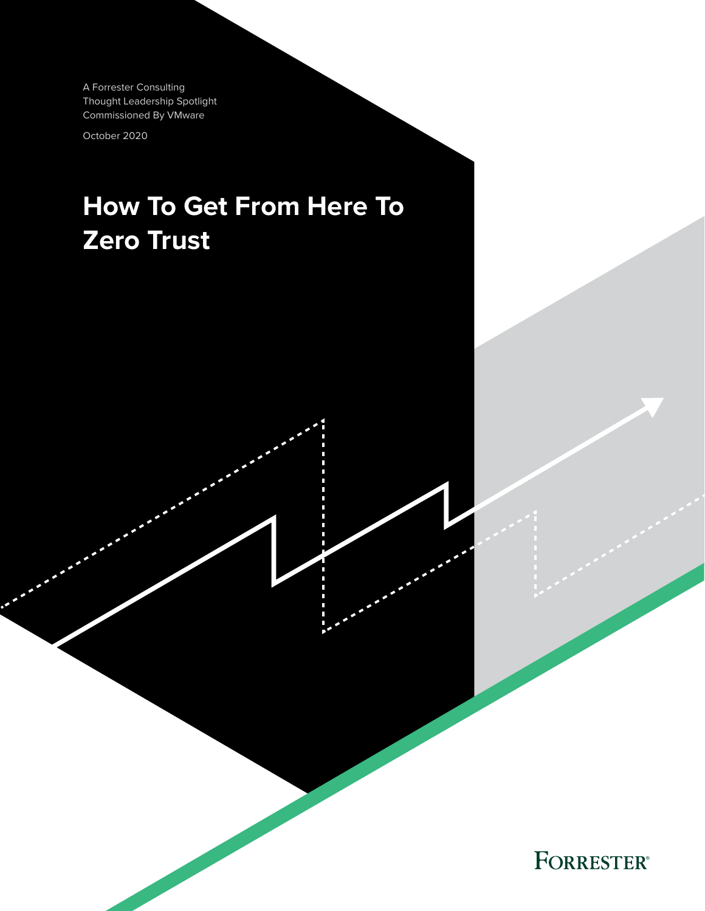A Forrester Consulting Thought Leadership Spotlight Commissioned By VMware

October 2020

# **How To Get From Here To Zero Trust**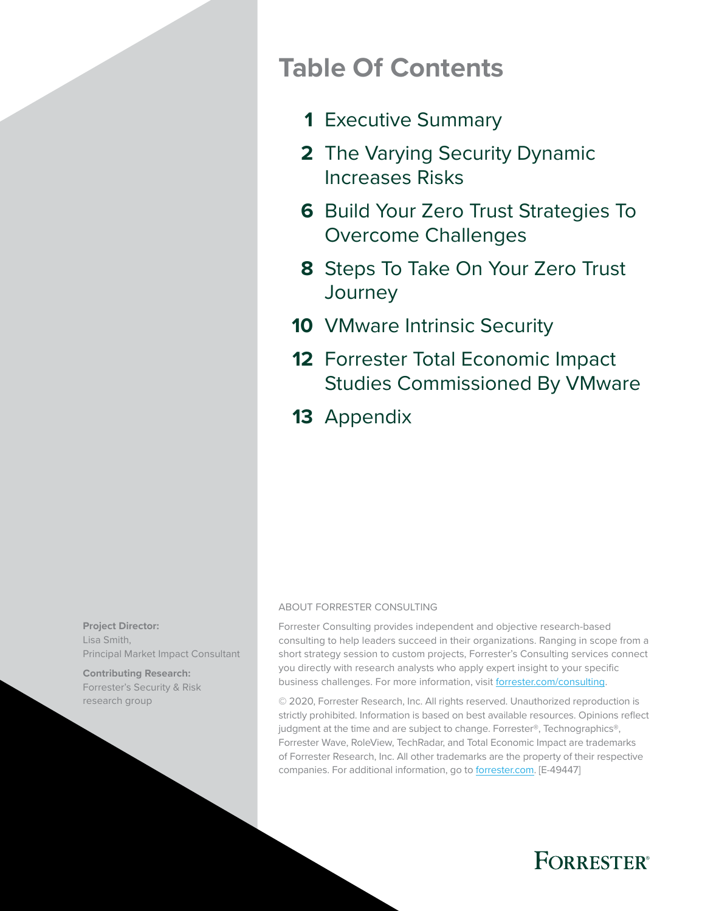### **Table Of Contents**

- [Executive Summary](#page-2-0) **1**
- [The Varying Security Dynamic](#page-3-0)  **2** [Increases Risks](#page-3-0)
- **6** Build Your Zero Trust Strategies To [Overcome Challenges](#page-7-0)
- [Steps To Take On Your Zero Trust](#page-9-0)  **8 [Journey](#page-9-0)**
- 10 [VMware Intrinsic Security](#page-11-0)
- 12 Forrester Total Economic Impact [Studies Commissioned By VMware](#page-13-0)
- 13 [Appendix](#page-14-0)

#### ABOUT FORRESTER CONSULTING

Forrester Consulting provides independent and objective research-based consulting to help leaders succeed in their organizations. Ranging in scope from a short strategy session to custom projects, Forrester's Consulting services connect you directly with research analysts who apply expert insight to your specific business challenges. For more information, visit [forrester.com/consulting.](https://go.forrester.com/consulting/)

© 2020, Forrester Research, Inc. All rights reserved. Unauthorized reproduction is strictly prohibited. Information is based on best available resources. Opinions reflect judgment at the time and are subject to change. Forrester®, Technographics®, Forrester Wave, RoleView, TechRadar, and Total Economic Impact are trademarks of Forrester Research, Inc. All other trademarks are the property of their respective companies. For additional information, go to [forrester.com.](https://www.forrester.com/home/) [E-49447]



**Contributing Research:**  Forrester's Security & Risk research group

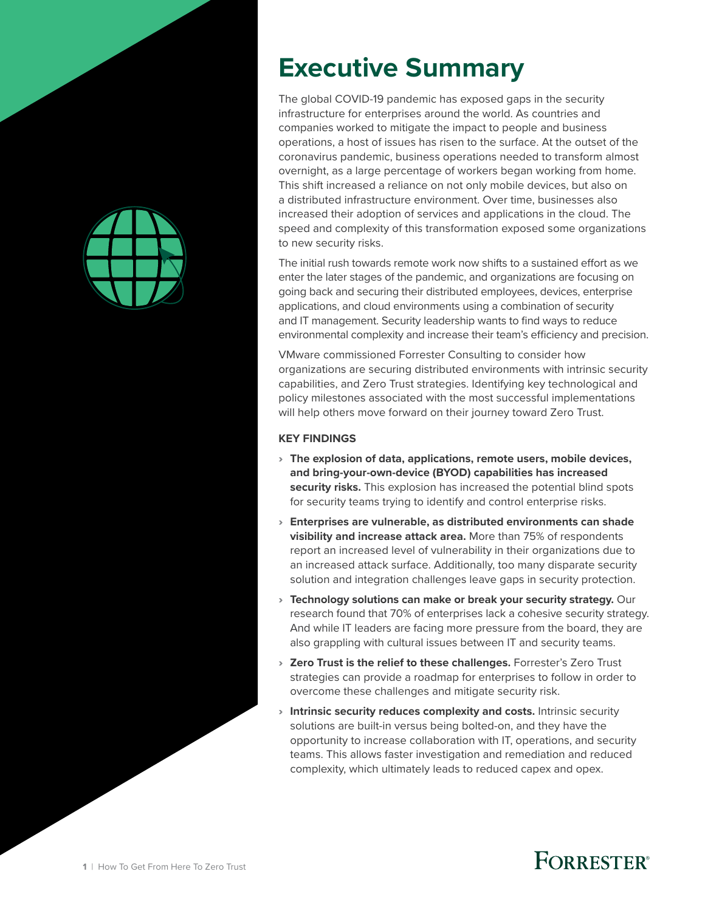<span id="page-2-0"></span>

# **Executive Summary**

The global COVID-19 pandemic has exposed gaps in the security infrastructure for enterprises around the world. As countries and companies worked to mitigate the impact to people and business operations, a host of issues has risen to the surface. At the outset of the coronavirus pandemic, business operations needed to transform almost overnight, as a large percentage of workers began working from home. This shift increased a reliance on not only mobile devices, but also on a distributed infrastructure environment. Over time, businesses also increased their adoption of services and applications in the cloud. The speed and complexity of this transformation exposed some organizations to new security risks.

The initial rush towards remote work now shifts to a sustained effort as we enter the later stages of the pandemic, and organizations are focusing on going back and securing their distributed employees, devices, enterprise applications, and cloud environments using a combination of security and IT management. Security leadership wants to find ways to reduce environmental complexity and increase their team's efficiency and precision.

VMware commissioned Forrester Consulting to consider how organizations are securing distributed environments with intrinsic security capabilities, and Zero Trust strategies. Identifying key technological and policy milestones associated with the most successful implementations will help others move forward on their journey toward Zero Trust.

#### **KEY FINDINGS**

- › **The explosion of data, applications, remote users, mobile devices, and bring-your-own-device (BYOD) capabilities has increased security risks.** This explosion has increased the potential blind spots for security teams trying to identify and control enterprise risks.
- › **Enterprises are vulnerable, as distributed environments can shade visibility and increase attack area.** More than 75% of respondents report an increased level of vulnerability in their organizations due to an increased attack surface. Additionally, too many disparate security solution and integration challenges leave gaps in security protection.
- › **Technology solutions can make or break your security strategy.** Our research found that 70% of enterprises lack a cohesive security strategy. And while IT leaders are facing more pressure from the board, they are also grappling with cultural issues between IT and security teams.
- › **Zero Trust is the relief to these challenges.** Forrester's Zero Trust strategies can provide a roadmap for enterprises to follow in order to overcome these challenges and mitigate security risk.
- › **Intrinsic security reduces complexity and costs.** Intrinsic security solutions are built-in versus being bolted-on, and they have the opportunity to increase collaboration with IT, operations, and security teams. This allows faster investigation and remediation and reduced complexity, which ultimately leads to reduced capex and opex.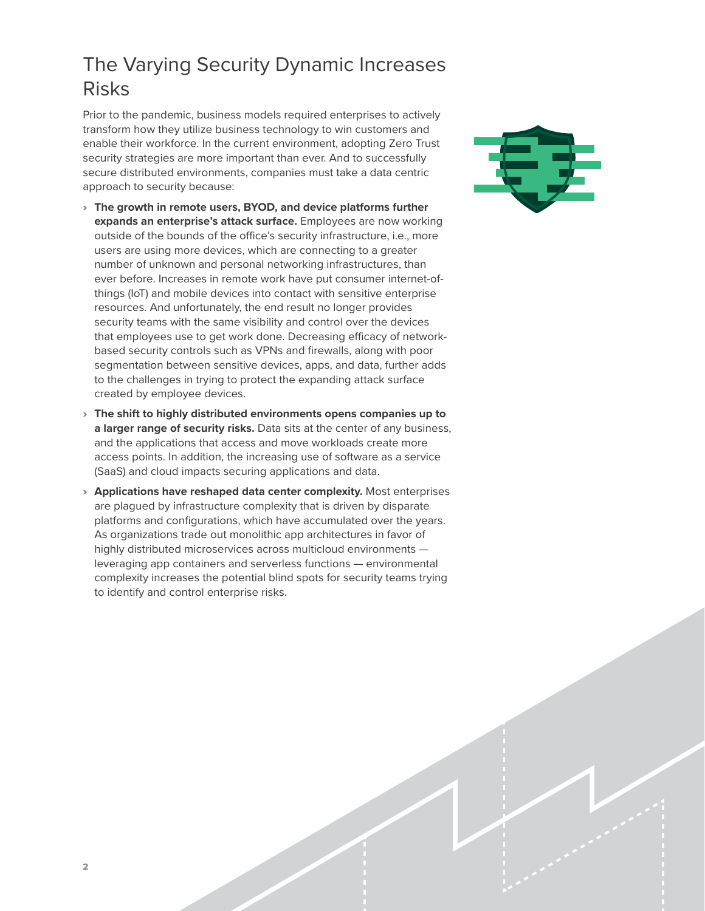### <span id="page-3-0"></span>The Varying Security Dynamic Increases Risks

Prior to the pandemic, business models required enterprises to actively transform how they utilize business technology to win customers and enable their workforce. In the current environment, adopting Zero Trust security strategies are more important than ever. And to successfully secure distributed environments, companies must take a data centric approach to security because:

- › **The growth in remote users, BYOD, and device platforms further expands an enterprise's attack surface.** Employees are now working outside of the bounds of the office's security infrastructure, i.e., more users are using more devices, which are connecting to a greater number of unknown and personal networking infrastructures, than ever before. Increases in remote work have put consumer internet-ofthings (IoT) and mobile devices into contact with sensitive enterprise resources. And unfortunately, the end result no longer provides security teams with the same visibility and control over the devices that employees use to get work done. Decreasing efficacy of networkbased security controls such as VPNs and firewalls, along with poor segmentation between sensitive devices, apps, and data, further adds to the challenges in trying to protect the expanding attack surface created by employee devices.
- › **The shift to highly distributed environments opens companies up to a larger range of security risks.** Data sits at the center of any business, and the applications that access and move workloads create more access points. In addition, the increasing use of software as a service (SaaS) and cloud impacts securing applications and data.
- › **Applications have reshaped data center complexity.** Most enterprises are plagued by infrastructure complexity that is driven by disparate platforms and configurations, which have accumulated over the years. As organizations trade out monolithic app architectures in favor of highly distributed microservices across multicloud environments leveraging app containers and serverless functions — environmental complexity increases the potential blind spots for security teams trying to identify and control enterprise risks.

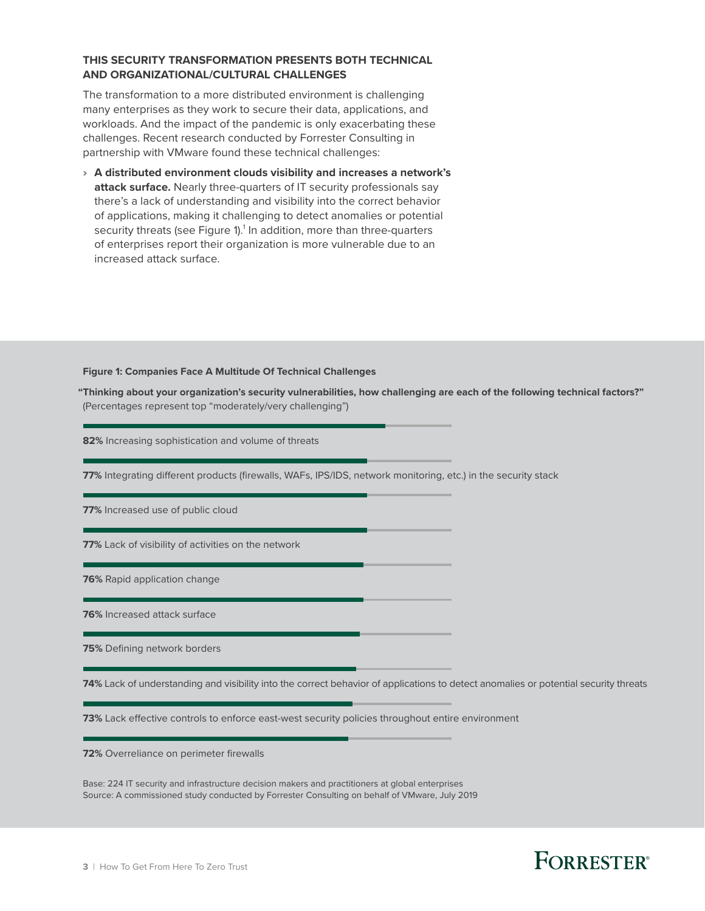#### **THIS SECURITY TRANSFORMATION PRESENTS BOTH TECHNICAL AND ORGANIZATIONAL/CULTURAL CHALLENGES**

The transformation to a more distributed environment is challenging many enterprises as they work to secure their data, applications, and workloads. And the impact of the pandemic is only exacerbating these challenges. Recent research conducted by Forrester Consulting in partnership with VMware found these technical challenges:

› **A distributed environment clouds visibility and increases a network's attack surface.** Nearly three-quarters of IT security professionals say there's a lack of understanding and visibility into the correct behavior of applications, making it challenging to detect anomalies or potential security threats (see Figure 1).<sup>1</sup> In addition, more than three-quarters of enterprises report their organization is more vulnerable due to an increased attack surface.

**Figure 1: Companies Face A Multitude Of Technical Challenges** 

**"Thinking about your organization's security vulnerabilities, how challenging are each of the following technical factors?"**  (Percentages represent top "moderately/very challenging")

**82%** Increasing sophistication and volume of threats

**77%** Integrating different products (firewalls, WAFs, IPS/IDS, network monitoring, etc.) in the security stack

**77%** Increased use of public cloud

**77%** Lack of visibility of activities on the network

**76%** Rapid application change

**76%** Increased attack surface

**75%** Defining network borders

**74%** Lack of understanding and visibility into the correct behavior of applications to detect anomalies or potential security threats

**73%** Lack effective controls to enforce east-west security policies throughout entire environment

**72%** Overreliance on perimeter firewalls

Base: 224 IT security and infrastructure decision makers and practitioners at global enterprises Source: A commissioned study conducted by Forrester Consulting on behalf of VMware, July 2019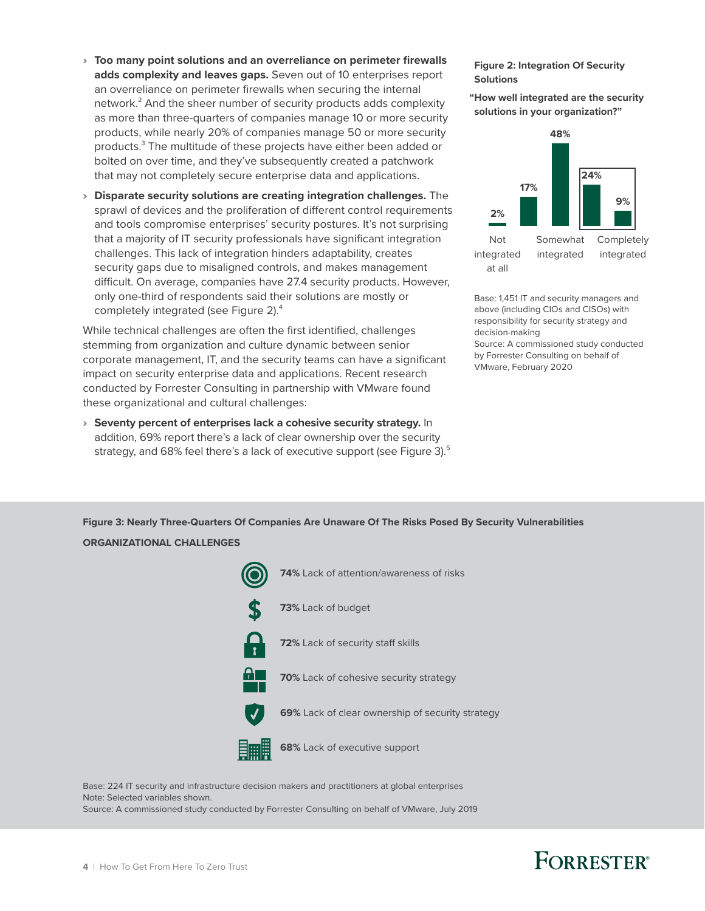- › **Too many point solutions and an overreliance on perimeter firewalls**  adds complexity and leaves gaps. Seven out of 10 enterprises report solutions and security and leaves gaps. Seven out of 10 enterprises report an overreliance on perimeter firewalls when securing the internal network.<sup>2</sup> And the sheer number of security products adds complexity as more than three-quarters of companies manage 10 or more security products, while nearly 20% of companies manage 50 or more security products.<sup>3</sup> The multitude of these projects have either been added or bolted on over time, and they've subsequently created a patchwork that may not completely secure enterprise data and applications.
	- › **Disparate security solutions are creating integration challenges.** The sprawl of devices and the proliferation of different control requirements and tools compromise enterprises' security postures. It's not surprising that a majority of IT security professionals have significant integration challenges. This lack of integration hinders adaptability, creates security gaps due to misaligned controls, and makes management difficult. On average, companies have 27.4 security products. However, only one-third of respondents said their solutions are mostly or completely integrated (see Figure 2).<sup>4</sup>

While technical challenges are often the first identified, challenges stemming from organization and culture dynamic between senior corporate management, IT, and the security teams can have a significant impact on security enterprise data and applications. Recent research conducted by Forrester Consulting in partnership with VMware found these organizational and cultural challenges:

› **Seventy percent of enterprises lack a cohesive security strategy.** In addition, 69% report there's a lack of clear ownership over the security strategy, and 68% feel there's a lack of executive support (see Figure 3).<sup>5</sup>

### **Solutions**

**"How well integrated are the security solutions in your organization?"**



Base: 1,451 IT and security managers and above (including CIOs and CISOs) with responsibility for security strategy and decision-making Source: A commissioned study conducted by Forrester Consulting on behalf of VMware, February 2020

Figure 3: Nearly Three-Quarters Of Companies Are Unaware Of The Risks Posed By Security Vulnerabilities **ORGANIZATIONAL CHALLENGES**



Base: 224 IT security and infrastructure decision makers and practitioners at global enterprises Note: Selected variables shown. Source: A commissioned study conducted by Forrester Consulting on behalf of VMware, July 2019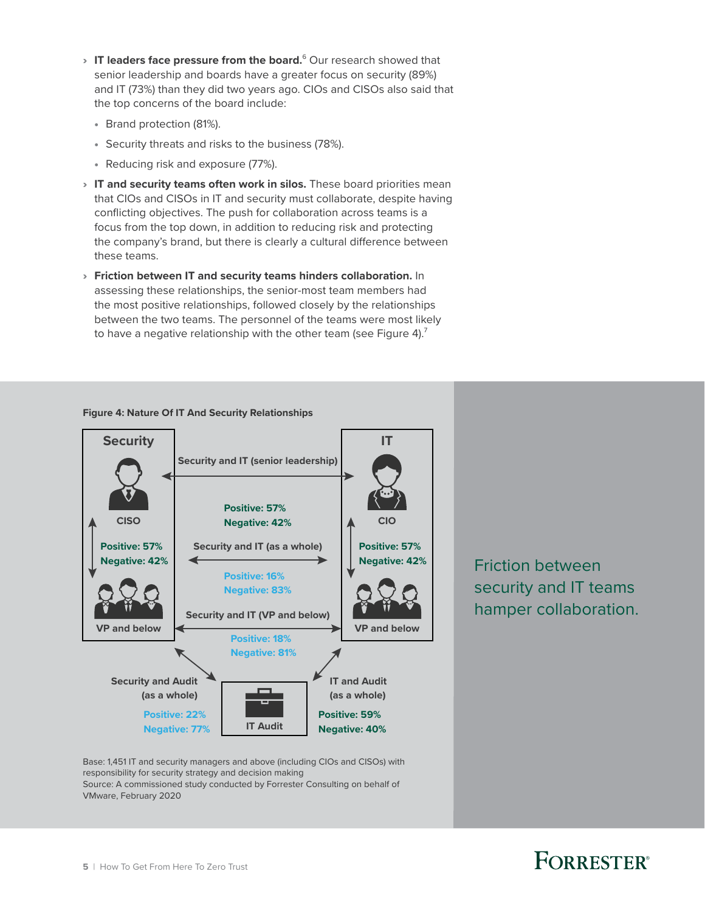- > IT leaders face pressure from the board.<sup>6</sup> Our research showed that senior leadership and boards have a greater focus on security (89%) and IT (73%) than they did two years ago. CIOs and CISOs also said that the top concerns of the board include:
	- Brand protection (81%).
	- Security threats and risks to the business (78%).
	- Reducing risk and exposure (77%).
- › **IT and security teams often work in silos.** These board priorities mean that CIOs and CISOs in IT and security must collaborate, despite having conflicting objectives. The push for collaboration across teams is a focus from the top down, in addition to reducing risk and protecting the company's brand, but there is clearly a cultural difference between these teams.
- › **Friction between IT and security teams hinders collaboration.** In assessing these relationships, the senior-most team members had the most positive relationships, followed closely by the relationships between the two teams. The personnel of the teams were most likely to have a negative relationship with the other team (see Figure 4).<sup>7</sup>

#### **Figure 4: Nature Of IT And Security Relationships**



Base: 1,451 IT and security managers and above (including CIOs and CISOs) with responsibility for security strategy and decision making Source: A commissioned study conducted by Forrester Consulting on behalf of VMware, February 2020

Friction between security and IT teams hamper collaboration.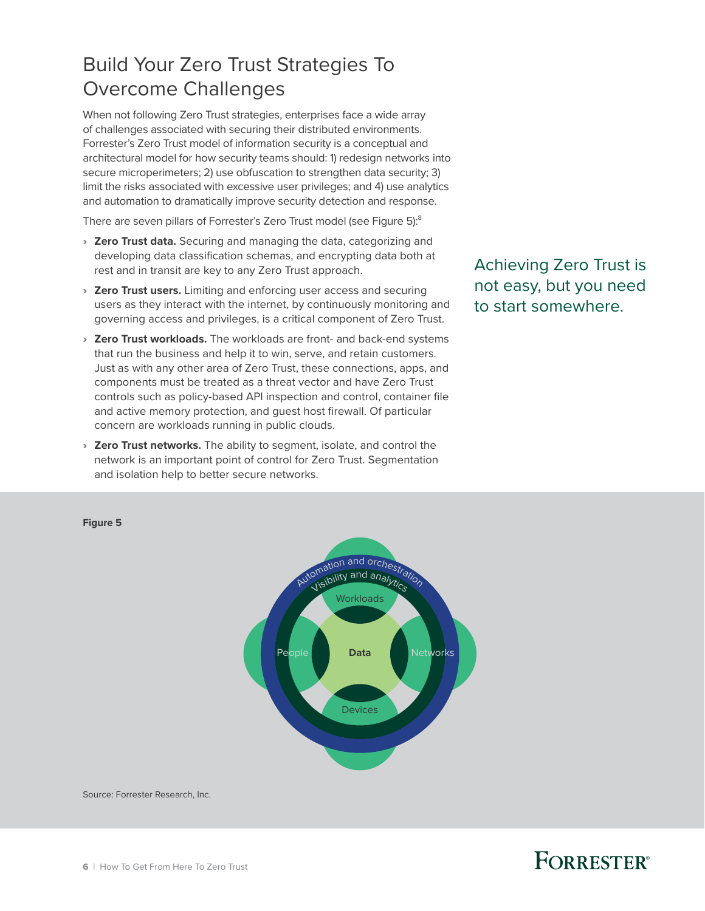### <span id="page-7-0"></span>Build Your Zero Trust Strategies To Overcome Challenges

When not following Zero Trust strategies, enterprises face a wide array of challenges associated with securing their distributed environments. Forrester's Zero Trust model of information security is a conceptual and architectural model for how security teams should: 1) redesign networks into secure microperimeters; 2) use obfuscation to strengthen data security; 3) limit the risks associated with excessive user privileges; and 4) use analytics and automation to dramatically improve security detection and response.

There are seven pillars of Forrester's Zero Trust model (see Figure 5):8

- › **Zero Trust data.** Securing and managing the data, categorizing and developing data classification schemas, and encrypting data both at rest and in transit are key to any Zero Trust approach.
- › **Zero Trust users.** Limiting and enforcing user access and securing users as they interact with the internet, by continuously monitoring and governing access and privileges, is a critical component of Zero Trust.
- › **Zero Trust workloads.** The workloads are front- and back-end systems that run the business and help it to win, serve, and retain customers. Just as with any other area of Zero Trust, these connections, apps, and components must be treated as a threat vector and have Zero Trust controls such as policy-based API inspection and control, container file and active memory protection, and guest host firewall. Of particular concern are workloads running in public clouds.
- › **Zero Trust networks.** The ability to segment, isolate, and control the network is an important point of control for Zero Trust. Segmentation and isolation help to better secure networks.

Achieving Zero Trust is not easy, but you need to start somewhere.

### Full page **Figure 5**



Source: Forrester Research, Inc.

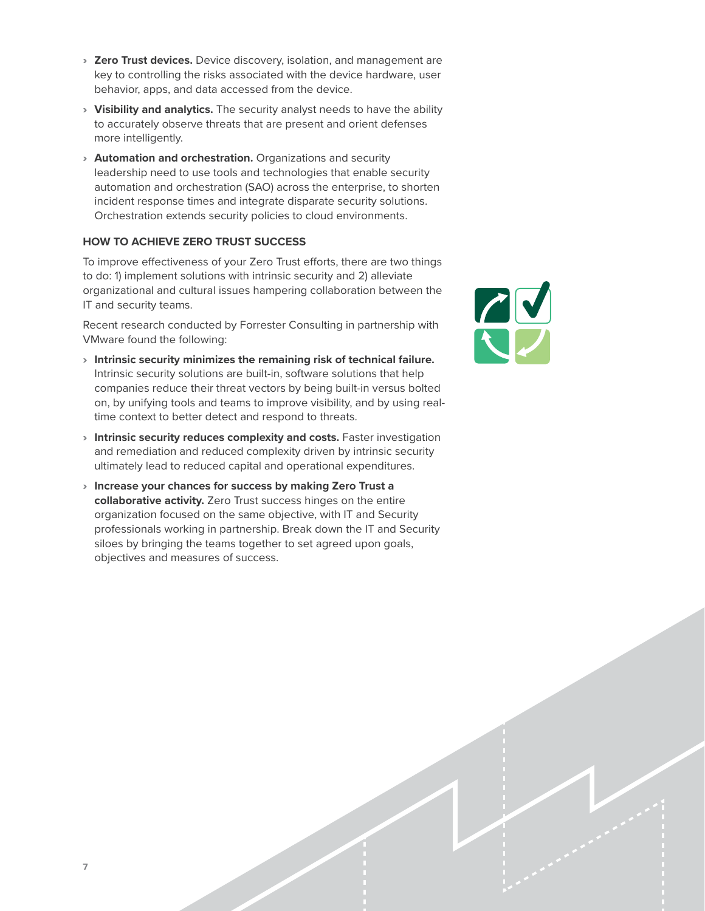- › **Zero Trust devices.** Device discovery, isolation, and management are key to controlling the risks associated with the device hardware, user behavior, apps, and data accessed from the device.
- › **Visibility and analytics.** The security analyst needs to have the ability to accurately observe threats that are present and orient defenses more intelligently.
- › **Automation and orchestration.** Organizations and security leadership need to use tools and technologies that enable security automation and orchestration (SAO) across the enterprise, to shorten incident response times and integrate disparate security solutions. Orchestration extends security policies to cloud environments.

#### **HOW TO ACHIEVE ZERO TRUST SUCCESS**

To improve effectiveness of your Zero Trust efforts, there are two things to do: 1) implement solutions with intrinsic security and 2) alleviate organizational and cultural issues hampering collaboration between the IT and security teams.

Recent research conducted by Forrester Consulting in partnership with VMware found the following:

- › **Intrinsic security minimizes the remaining risk of technical failure.** Intrinsic security solutions are built-in, software solutions that help companies reduce their threat vectors by being built-in versus bolted on, by unifying tools and teams to improve visibility, and by using realtime context to better detect and respond to threats.
- › **Intrinsic security reduces complexity and costs.** Faster investigation and remediation and reduced complexity driven by intrinsic security ultimately lead to reduced capital and operational expenditures.
- › **Increase your chances for success by making Zero Trust a collaborative activity.** Zero Trust success hinges on the entire organization focused on the same objective, with IT and Security professionals working in partnership. Break down the IT and Security siloes by bringing the teams together to set agreed upon goals, objectives and measures of success.

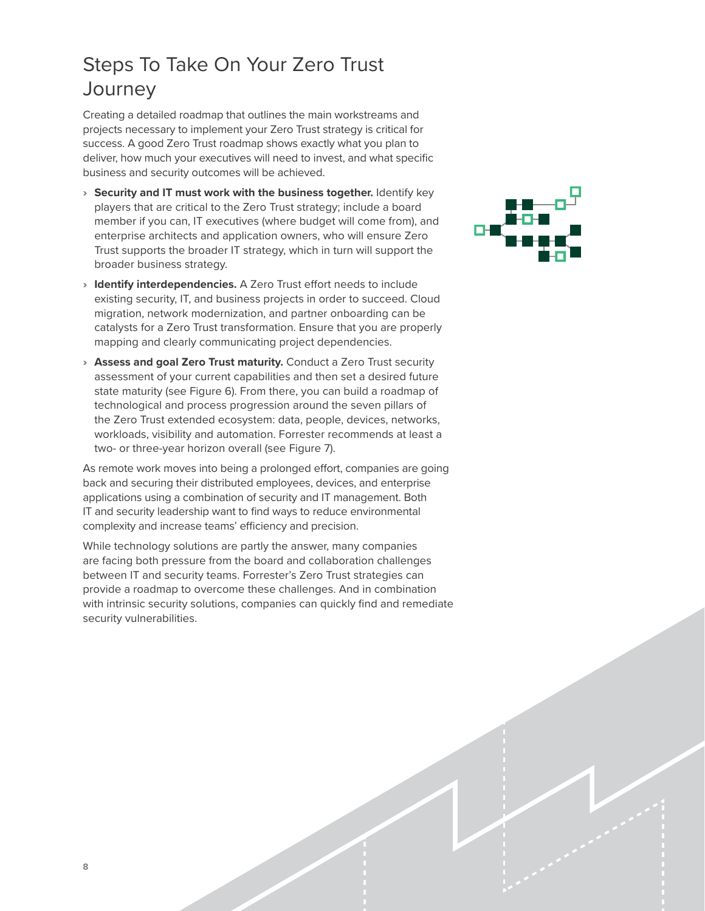### <span id="page-9-0"></span>Steps To Take On Your Zero Trust **Journey**

Creating a detailed roadmap that outlines the main workstreams and projects necessary to implement your Zero Trust strategy is critical for success. A good Zero Trust roadmap shows exactly what you plan to deliver, how much your executives will need to invest, and what specific business and security outcomes will be achieved.

- › **Security and IT must work with the business together.** Identify key players that are critical to the Zero Trust strategy; include a board member if you can, IT executives (where budget will come from), and enterprise architects and application owners, who will ensure Zero Trust supports the broader IT strategy, which in turn will support the broader business strategy.
- › **Identify interdependencies.** A Zero Trust effort needs to include existing security, IT, and business projects in order to succeed. Cloud migration, network modernization, and partner onboarding can be catalysts for a Zero Trust transformation. Ensure that you are properly mapping and clearly communicating project dependencies.
- › **Assess and goal Zero Trust maturity.** Conduct a Zero Trust security assessment of your current capabilities and then set a desired future state maturity (see Figure 6). From there, you can build a roadmap of technological and process progression around the seven pillars of the Zero Trust extended ecosystem: data, people, devices, networks, workloads, visibility and automation. Forrester recommends at least a two- or three-year horizon overall (see Figure 7).

As remote work moves into being a prolonged effort, companies are going back and securing their distributed employees, devices, and enterprise applications using a combination of security and IT management. Both IT and security leadership want to find ways to reduce environmental complexity and increase teams' efficiency and precision.

While technology solutions are partly the answer, many companies are facing both pressure from the board and collaboration challenges between IT and security teams. Forrester's Zero Trust strategies can provide a roadmap to overcome these challenges. And in combination with intrinsic security solutions, companies can quickly find and remediate security vulnerabilities.

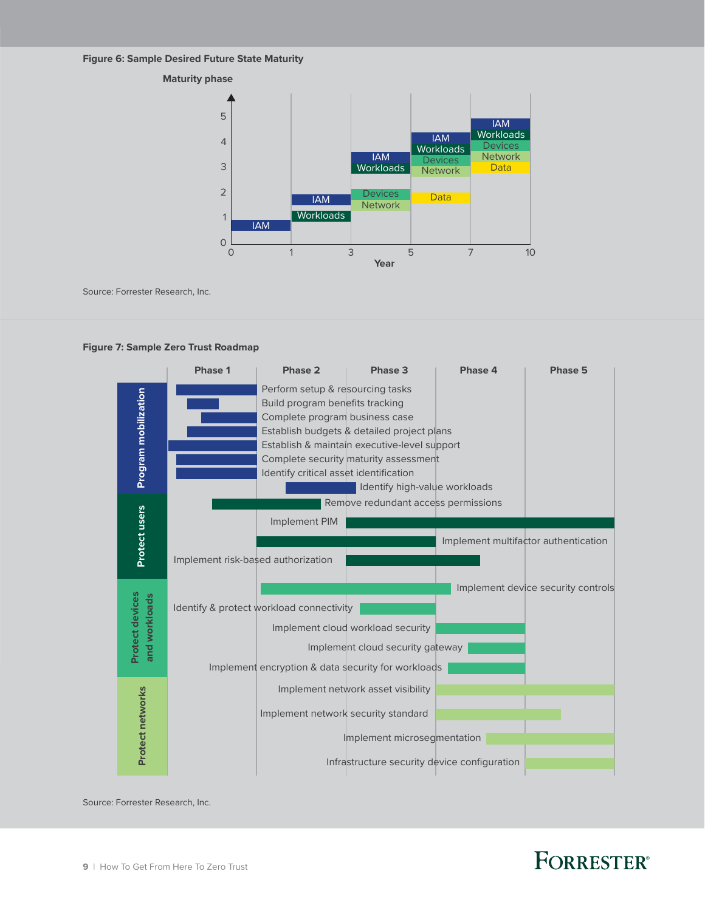#### **Figure 6: Sample Desired Future State Maturity**



Source: Forrester Research, Inc.





Source: Forrester Research, Inc.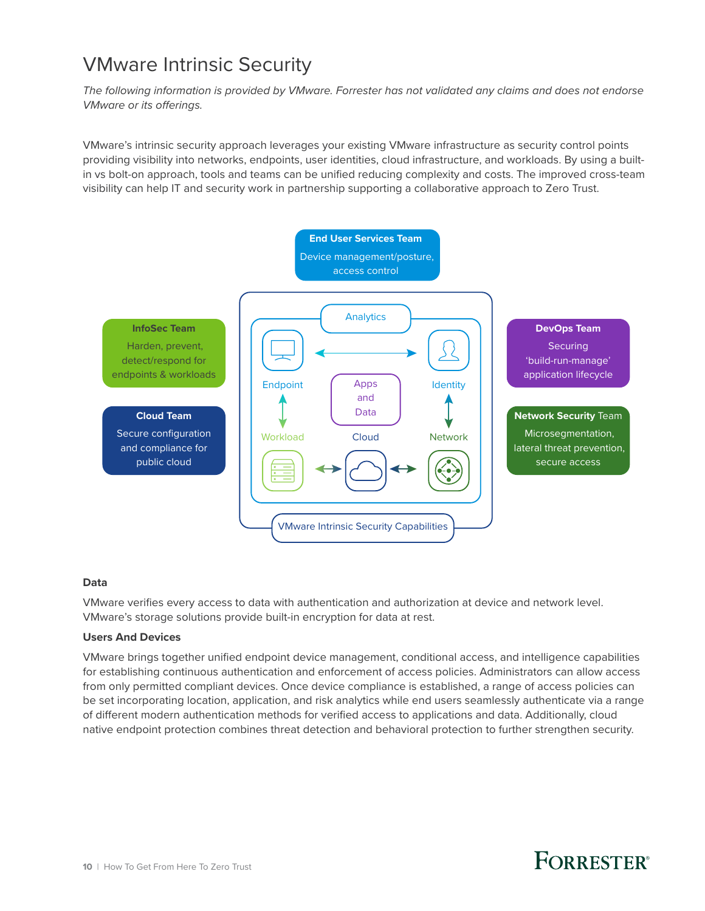### <span id="page-11-0"></span>VMware Intrinsic Security

*The following information is provided by VMware. Forrester has not validated any claims and does not endorse VMware or its offerings.* 

VMware's intrinsic security approach leverages your existing VMware infrastructure as security control points providing visibility into networks, endpoints, user identities, cloud infrastructure, and workloads. By using a builtin vs bolt-on approach, tools and teams can be unified reducing complexity and costs. The improved cross-team visibility can help IT and security work in partnership supporting a collaborative approach to Zero Trust.



#### **Data**

VMware verifies every access to data with authentication and authorization at device and network level. VMware's storage solutions provide built-in encryption for data at rest.

#### **Users And Devices**

VMware brings together unified endpoint device management, conditional access, and intelligence capabilities for establishing continuous authentication and enforcement of access policies. Administrators can allow access from only permitted compliant devices. Once device compliance is established, a range of access policies can be set incorporating location, application, and risk analytics while end users seamlessly authenticate via a range of different modern authentication methods for verified access to applications and data. Additionally, cloud native endpoint protection combines threat detection and behavioral protection to further strengthen security.

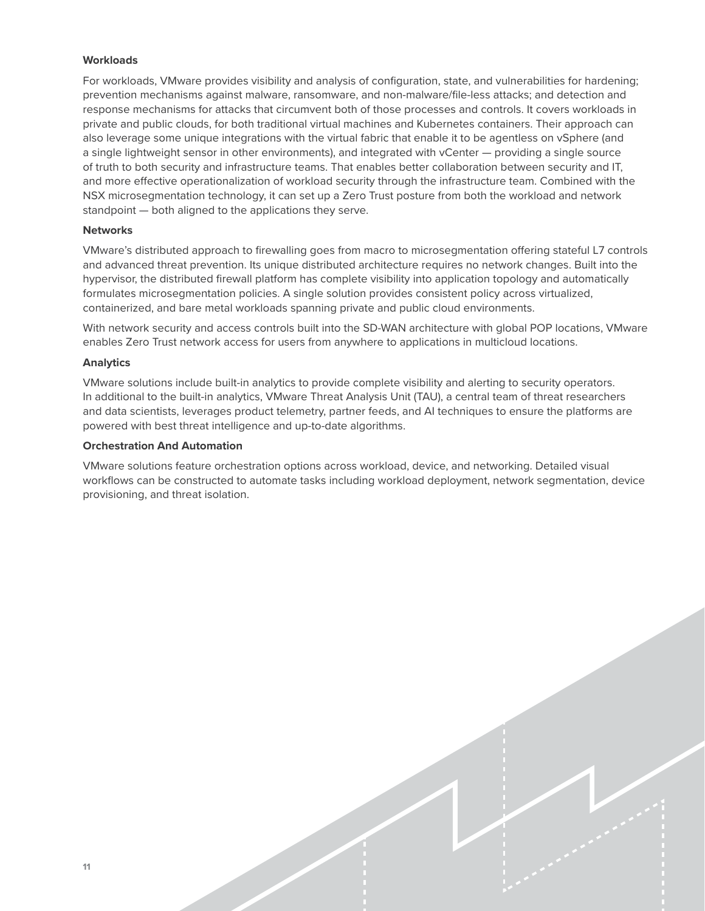#### **Workloads**

For workloads, VMware provides visibility and analysis of configuration, state, and vulnerabilities for hardening; prevention mechanisms against malware, ransomware, and non-malware/file-less attacks; and detection and response mechanisms for attacks that circumvent both of those processes and controls. It covers workloads in private and public clouds, for both traditional virtual machines and Kubernetes containers. Their approach can also leverage some unique integrations with the virtual fabric that enable it to be agentless on vSphere (and a single lightweight sensor in other environments), and integrated with vCenter — providing a single source of truth to both security and infrastructure teams. That enables better collaboration between security and IT, and more effective operationalization of workload security through the infrastructure team. Combined with the NSX microsegmentation technology, it can set up a Zero Trust posture from both the workload and network standpoint — both aligned to the applications they serve.

#### **Networks**

VMware's distributed approach to firewalling goes from macro to microsegmentation offering stateful L7 controls and advanced threat prevention. Its unique distributed architecture requires no network changes. Built into the hypervisor, the distributed firewall platform has complete visibility into application topology and automatically formulates microsegmentation policies. A single solution provides consistent policy across virtualized, containerized, and bare metal workloads spanning private and public cloud environments.

With network security and access controls built into the SD-WAN architecture with global POP locations, VMware enables Zero Trust network access for users from anywhere to applications in multicloud locations.

#### **Analytics**

VMware solutions include built-in analytics to provide complete visibility and alerting to security operators. In additional to the built-in analytics, VMware Threat Analysis Unit (TAU), a central team of threat researchers and data scientists, leverages product telemetry, partner feeds, and AI techniques to ensure the platforms are powered with best threat intelligence and up-to-date algorithms.

#### **Orchestration And Automation**

VMware solutions feature orchestration options across workload, device, and networking. Detailed visual workflows can be constructed to automate tasks including workload deployment, network segmentation, device provisioning, and threat isolation.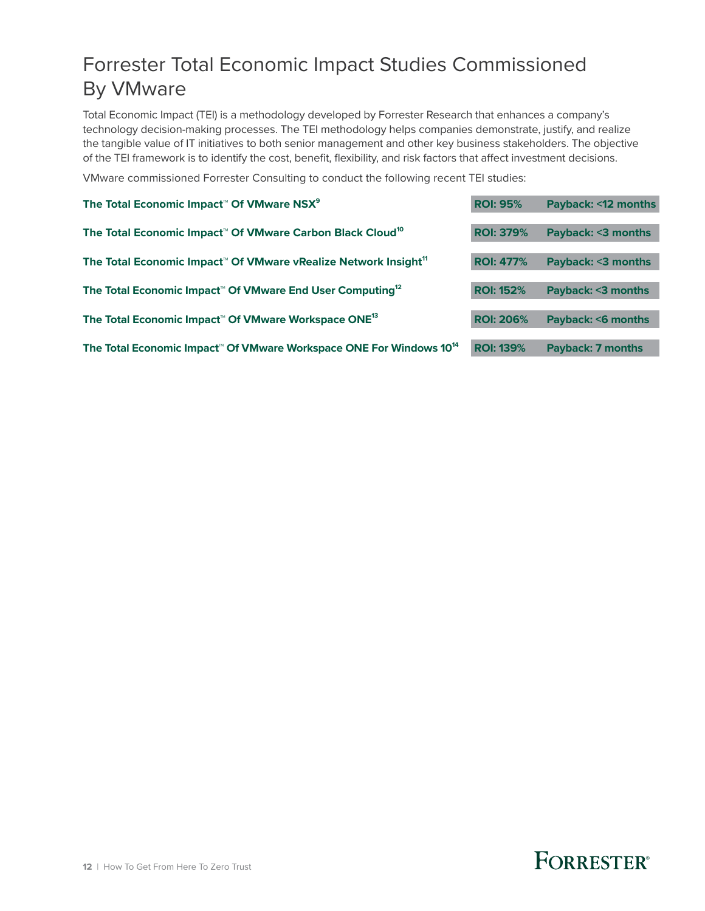### <span id="page-13-0"></span>Forrester Total Economic Impact Studies Commissioned By VMware

Total Economic Impact (TEI) is a methodology developed by Forrester Research that enhances a company's technology decision-making processes. The TEI methodology helps companies demonstrate, justify, and realize the tangible value of IT initiatives to both senior management and other key business stakeholders. The objective of the TEI framework is to identify the cost, benefit, flexibility, and risk factors that affect investment decisions.

VMware commissioned Forrester Consulting to conduct the following recent TEI studies:

| The Total Economic Impact <sup>™</sup> Of VMware NSX <sup>9</sup>                           | <b>ROI: 95%</b>  | Payback: <12 months      |
|---------------------------------------------------------------------------------------------|------------------|--------------------------|
| The Total Economic Impact <sup>™</sup> Of VMware Carbon Black Cloud <sup>10</sup>           | <b>ROI: 379%</b> | Payback: <3 months       |
| The Total Economic Impact <sup>™</sup> Of VMware vRealize Network Insight <sup>11</sup>     | <b>ROI: 477%</b> | Payback: <3 months       |
| The Total Economic Impact <sup>™</sup> Of VMware End User Computing <sup>12</sup>           | <b>ROI: 152%</b> | Payback: <3 months       |
| The Total Economic Impact <sup>™</sup> Of VMware Workspace ONE <sup>13</sup>                | <b>ROI: 206%</b> | Payback: < 6 months      |
| The Total Economic Impact <sup>™</sup> Of VMware Workspace ONE For Windows 10 <sup>14</sup> | <b>ROI: 139%</b> | <b>Payback: 7 months</b> |
|                                                                                             |                  |                          |